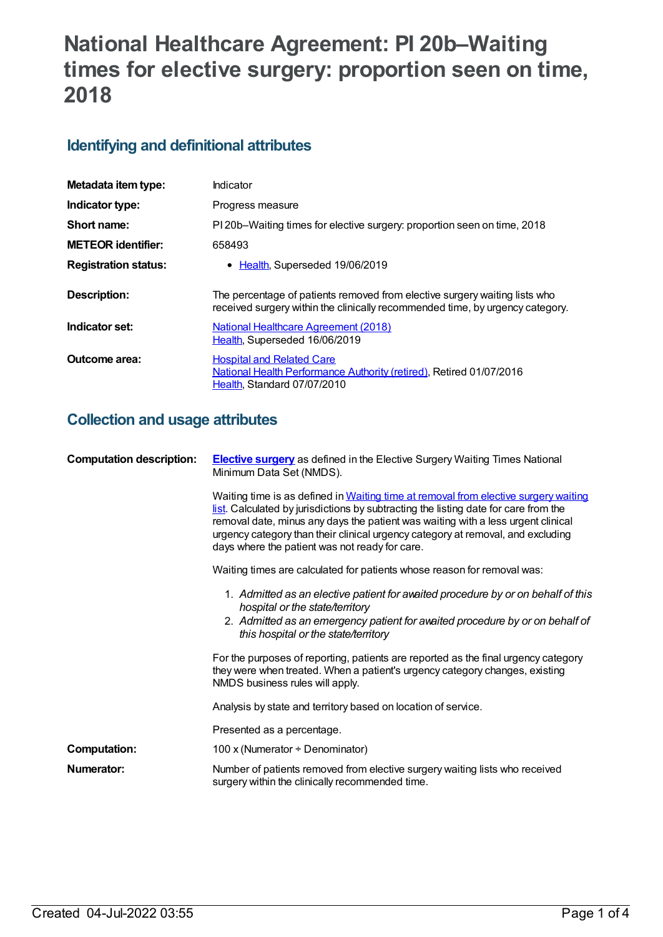# **National Healthcare Agreement: PI 20b–Waiting times for elective surgery: proportion seen on time, 2018**

### **Identifying and definitional attributes**

| Metadata item type:         | Indicator                                                                                                                                                   |
|-----------------------------|-------------------------------------------------------------------------------------------------------------------------------------------------------------|
| Indicator type:             | Progress measure                                                                                                                                            |
| Short name:                 | PI 20b–Waiting times for elective surgery: proportion seen on time, 2018                                                                                    |
| <b>METEOR identifier:</b>   | 658493                                                                                                                                                      |
| <b>Registration status:</b> | • Health, Superseded 19/06/2019                                                                                                                             |
| Description:                | The percentage of patients removed from elective surgery waiting lists who<br>received surgery within the clinically recommended time, by urgency category. |
| Indicator set:              | National Healthcare Agreement (2018)<br>Health, Superseded 16/06/2019                                                                                       |
| Outcome area:               | <b>Hospital and Related Care</b><br><b>National Health Performance Authority (retired), Retired 01/07/2016</b><br>Health, Standard 07/07/2010               |

### **Collection and usage attributes**

| <b>Computation description:</b> | <b>Elective surgery</b> as defined in the Elective Surgery Waiting Times National<br>Minimum Data Set (NMDS).                                                                                                                                                                                                                                                                                       |
|---------------------------------|-----------------------------------------------------------------------------------------------------------------------------------------------------------------------------------------------------------------------------------------------------------------------------------------------------------------------------------------------------------------------------------------------------|
|                                 | Waiting time is as defined in Waiting time at removal from elective surgery waiting<br>list. Calculated by jurisdictions by subtracting the listing date for care from the<br>removal date, minus any days the patient was waiting with a less urgent clinical<br>urgency category than their clinical urgency category at removal, and excluding<br>days where the patient was not ready for care. |
|                                 | Waiting times are calculated for patients whose reason for removal was:                                                                                                                                                                                                                                                                                                                             |
|                                 | 1. Admitted as an elective patient for avaited procedure by or on behalf of this<br>hospital or the state/territory<br>2. Admitted as an emergency patient for avaited procedure by or on behalf of<br>this hospital or the state/territory                                                                                                                                                         |
|                                 | For the purposes of reporting, patients are reported as the final urgency category<br>they were when treated. When a patient's urgency category changes, existing<br>NMDS business rules will apply.                                                                                                                                                                                                |
|                                 | Analysis by state and territory based on location of service.                                                                                                                                                                                                                                                                                                                                       |
|                                 | Presented as a percentage.                                                                                                                                                                                                                                                                                                                                                                          |
| <b>Computation:</b>             | 100 x (Numerator ÷ Denominator)                                                                                                                                                                                                                                                                                                                                                                     |
| Numerator:                      | Number of patients removed from elective surgery waiting lists who received<br>surgery within the clinically recommended time.                                                                                                                                                                                                                                                                      |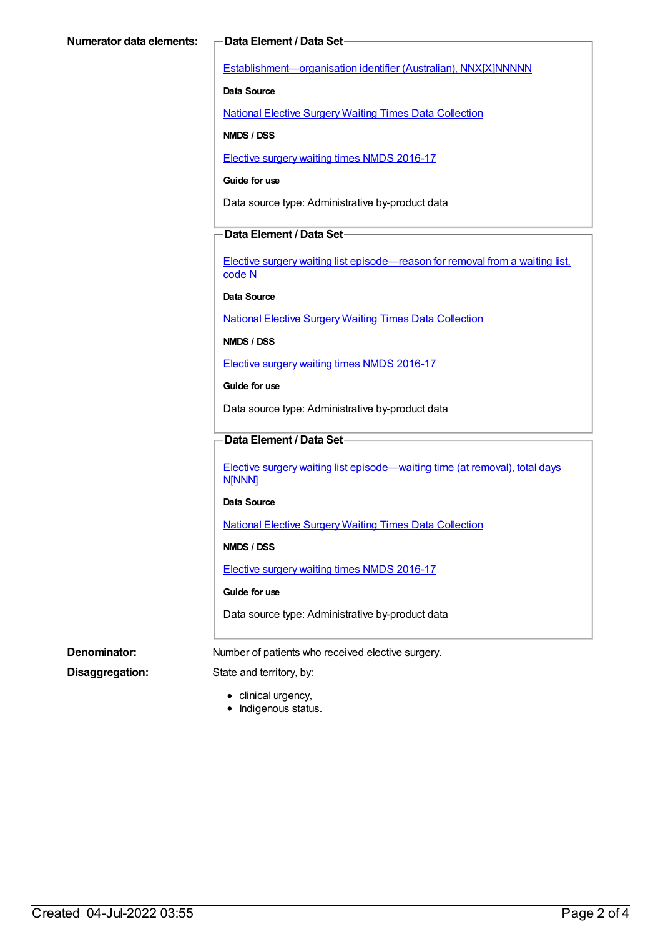[Establishment—organisation](https://meteor.aihw.gov.au/content/269973) identifier (Australian), NNX[X]NNNNN

**Data Source**

National Elective Surgery Waiting Times Data [Collection](https://meteor.aihw.gov.au/content/395071)

**NMDS / DSS**

Elective surgery waiting times NMDS [2016-17](https://meteor.aihw.gov.au/content/623795)

**Guide for use**

Data source type: Administrative by-product data

#### **Data Element / Data Set**

Elective surgery waiting list [episode—reason](https://meteor.aihw.gov.au/content/471735) for removal from a waiting list, code N

**Data Source**

National Elective Surgery Waiting Times Data [Collection](https://meteor.aihw.gov.au/content/395071)

**NMDS / DSS**

Elective surgery waiting times NMDS [2016-17](https://meteor.aihw.gov.au/content/623795)

**Guide for use**

Data source type: Administrative by-product data

#### **Data Element / Data Set**

Elective surgery waiting list [episode—waiting](https://meteor.aihw.gov.au/content/598074) time (at removal), total days N[NNN]

#### **Data Source**

National Elective Surgery Waiting Times Data [Collection](https://meteor.aihw.gov.au/content/395071)

**NMDS / DSS**

Elective surgery waiting times NMDS [2016-17](https://meteor.aihw.gov.au/content/623795)

#### **Guide for use**

Data source type: Administrative by-product data

**Denominator:** Number of patients who received elective surgery.

**Disaggregation:** State and territory, by:

- clinical urgency,
- Indigenous status.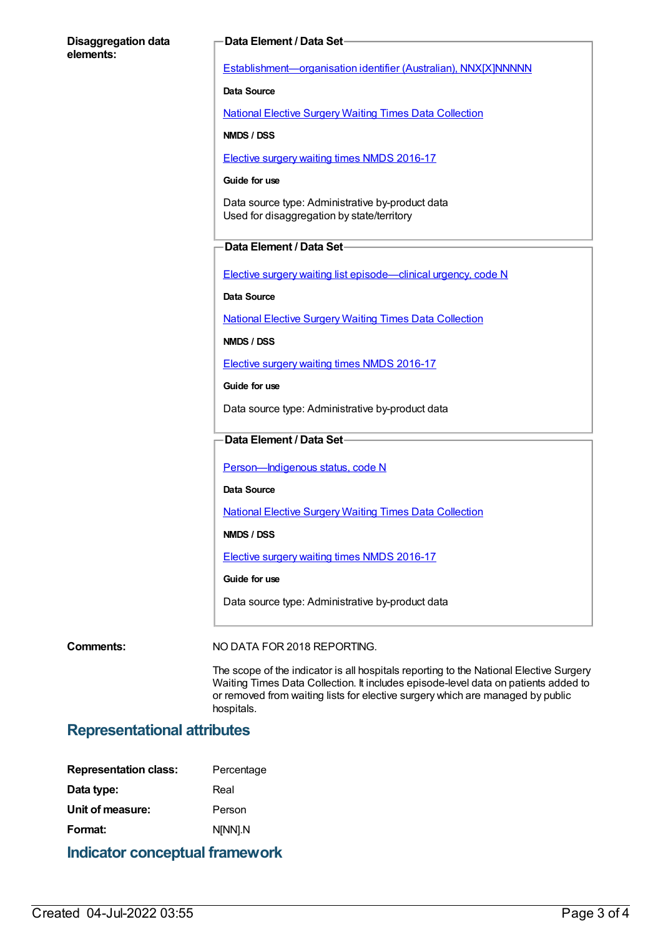#### **Disaggregation data elements:**

#### **Data Element / Data Set**

[Establishment—organisation](https://meteor.aihw.gov.au/content/269973) identifier (Australian), NNX[X]NNNNN

**Data Source**

National Elective Surgery Waiting Times Data [Collection](https://meteor.aihw.gov.au/content/395071)

**NMDS / DSS**

Elective surgery waiting times NMDS [2016-17](https://meteor.aihw.gov.au/content/623795)

#### **Guide for use**

Data source type: Administrative by-product data Used for disaggregation by state/territory

#### **Data Element / Data Set**

Elective surgery waiting list [episode—clinical](https://meteor.aihw.gov.au/content/598034) urgency, code N

**Data Source**

National Elective Surgery Waiting Times Data [Collection](https://meteor.aihw.gov.au/content/395071)

**NMDS / DSS**

Elective surgery waiting times NMDS [2016-17](https://meteor.aihw.gov.au/content/623795)

**Guide for use**

Data source type: Administrative by-product data

### **Data Element / Data Set**

Person-Indigenous status, code N

**Data Source**

National Elective Surgery Waiting Times Data [Collection](https://meteor.aihw.gov.au/content/395071)

**NMDS / DSS**

Elective surgery waiting times NMDS [2016-17](https://meteor.aihw.gov.au/content/623795)

**Guide for use**

Data source type: Administrative by-product data

**Comments:** NO DATA FOR 2018 REPORTING.

The scope of the indicator is all hospitals reporting to the National Elective Surgery Waiting Times Data Collection. It includes episode-level data on patients added to or removed from waiting lists for elective surgery which are managed by public hospitals.

### **Representational attributes**

| <b>Representation class:</b> | Percentage |
|------------------------------|------------|
| Data type:                   | Real       |
| Unit of measure:             | Person     |
| Format:                      | N[NN].N    |
|                              |            |

**Indicator conceptual framework**